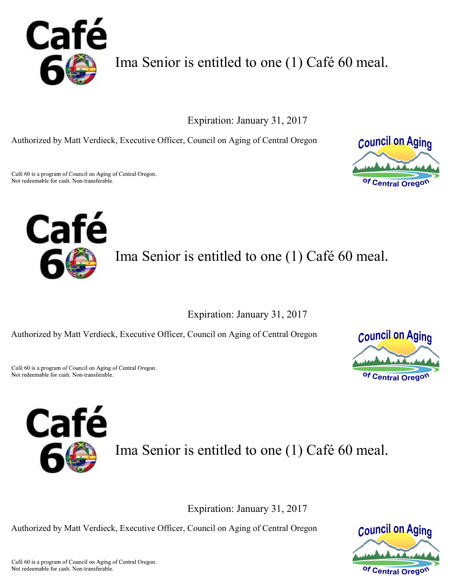

Ima Senior is entitled to one (1) Café 60 meal.

Expiration: January 31, 2017

Authorized by Matt Verdieck, Executive Officer, Council on Aging of Central Oregon

Café 60 is a program of Council on Aging of Central Oregon. Not redeemable for cash. Non-transferable.





Ima Senior is entitled to one (1) Café 60 meal.

Expiration: January 31, 2017

Authorized by Matt Verdieck, Executive Officer, Council on Aging of Central Oregon

Café 60 is a program of Council on Aging of Central Oregon. Not redeemable for cash. Non-transferable.





Ima Senior is entitled to one (1) Café 60 meal.

Expiration: January 31, 2017

Authorized by Matt Verdieck, Executive Officer, Council on Aging of Central Oregon